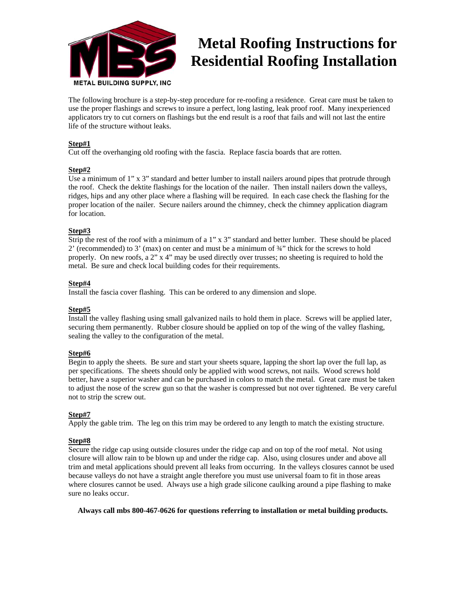

# **Metal Roofing Instructions for Residential Roofing Installation**

The following brochure is a step-by-step procedure for re-roofing a residence. Great care must be taken to use the proper flashings and screws to insure a perfect, long lasting, leak proof roof. Many inexperienced applicators try to cut corners on flashings but the end result is a roof that fails and will not last the entire life of the structure without leaks.

# **Step#1**

Cut off the overhanging old roofing with the fascia. Replace fascia boards that are rotten.

# **Step#2**

Use a minimum of 1" x 3" standard and better lumber to install nailers around pipes that protrude through the roof. Check the dektite flashings for the location of the nailer. Then install nailers down the valleys, ridges, hips and any other place where a flashing will be required. In each case check the flashing for the proper location of the nailer. Secure nailers around the chimney, check the chimney application diagram for location.

# **Step#3**

Strip the rest of the roof with a minimum of a 1" x 3" standard and better lumber. These should be placed 2' (recommended) to 3' (max) on center and must be a minimum of ¾" thick for the screws to hold properly. On new roofs, a 2" x 4" may be used directly over trusses; no sheeting is required to hold the metal. Be sure and check local building codes for their requirements.

# **Step#4**

Install the fascia cover flashing. This can be ordered to any dimension and slope.

# **Step#5**

Install the valley flashing using small galvanized nails to hold them in place. Screws will be applied later, securing them permanently. Rubber closure should be applied on top of the wing of the valley flashing, sealing the valley to the configuration of the metal.

# **Step#6**

Begin to apply the sheets. Be sure and start your sheets square, lapping the short lap over the full lap, as per specifications. The sheets should only be applied with wood screws, not nails. Wood screws hold better, have a superior washer and can be purchased in colors to match the metal. Great care must be taken to adjust the nose of the screw gun so that the washer is compressed but not over tightened. Be very careful not to strip the screw out.

# **Step#7**

Apply the gable trim. The leg on this trim may be ordered to any length to match the existing structure.

# **Step#8**

Secure the ridge cap using outside closures under the ridge cap and on top of the roof metal. Not using closure will allow rain to be blown up and under the ridge cap. Also, using closures under and above all trim and metal applications should prevent all leaks from occurring. In the valleys closures cannot be used because valleys do not have a straight angle therefore you must use universal foam to fit in those areas where closures cannot be used. Always use a high grade silicone caulking around a pipe flashing to make sure no leaks occur.

# **Always call mbs 800-467-0626 for questions referring to installation or metal building products.**